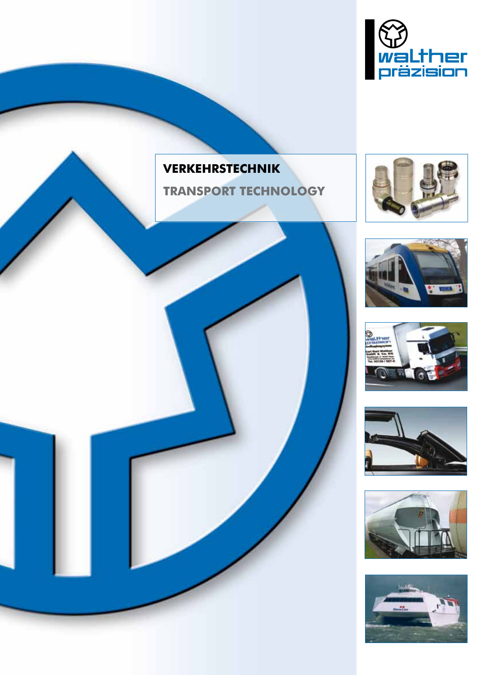

# **VERKEHRSTECHNIK**

**TRANSPORT TECHNOLOGY**











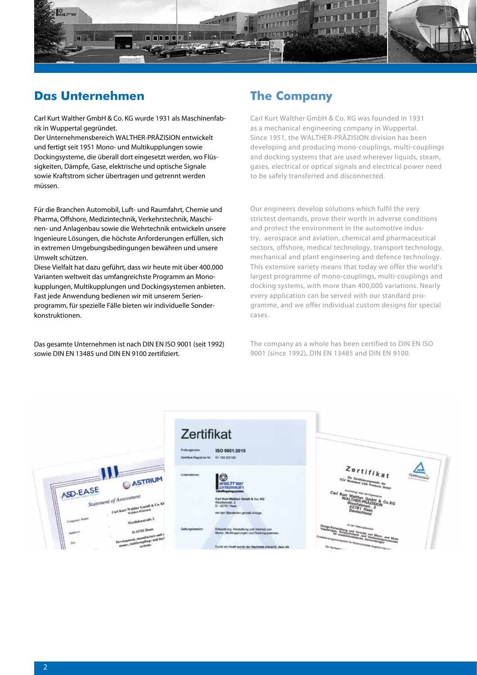

# **Das Unternehmen**

Carl Kurt Walther GmbH & Co. KG wurde 1931 als Maschinenfabrik in Wuppertal gegründet.

Der Unternehmensbereich WALTHER-PRÄZISION entwickelt und fertigt seit 1951 Mono- und Multikupplungen sowie Dockingsysteme, die überall dort eingesetzt werden, wo Flüssigkeiten, Dämpfe, Gase, elektrische und optische Signale sowie Kraftstrom sicher übertragen und getrennt werden müssen.

Für die Branchen Automobil, Luft- und Raumfahrt, Chemie und Pharma, Offshore, Medizintechnik, Verkehrstechnik, Maschinen- und Anlagenbau sowie die Wehrtechnik entwickeln unsere Ingenieure Lösungen, die höchste Anforderungen erfüllen, sich in extremen Umgebungsbedingungen bewähren und unsere Umwelt schützen.

Diese Vielfalt hat dazu geführt, dass wir heute mit über 400.000 Varianten weltweit das umfangreichste Programm an Monokupplungen, Multikupplungen und Dockingsystemen anbieten. Fast jede Anwendung bedienen wir mit unserem Serienprogramm, für spezielle Fälle bieten wir individuelle Sonderkonstruktionen.

Das gesamte Unternehmen ist nach DIN EN ISO 9001 (seit 1992) sowie DIN EN 13485 und DIN EN 9100 zertifiziert.

# **The Company**

Carl Kurt Walther GmbH & Co. KG was founded in 1931 as a mechanical engineering company in Wuppertal. Since 1951, the WALTHER-PRÄZISION division has been developing and producing mono-couplings, multi-couplings and docking systems that are used wherever liquids, steam, gases, electrical or optical signals and electrical power need to be safely transferred and disconnected.

Our engineers develop solutions which fulfil the very strictest demands, prove their worth in adverse conditions and protect the environment in the automotive industry, aerospace and aviation, chemical and pharmaceutical sectors, offshore, medical technology, transport technology, mechanical and plant engineering and defence technology. This extensive variety means that today we offer the world's largest programme of mono-couplings, multi-couplings and docking systems, with more than 400,000 variations. Nearly every application can be served with our standard programme, and we offer individual custom designs for special cases.

The company as a whole has been certified to DIN EN ISO 9001 (since 1992), DIN EN 13485 and DIN EN 9100.

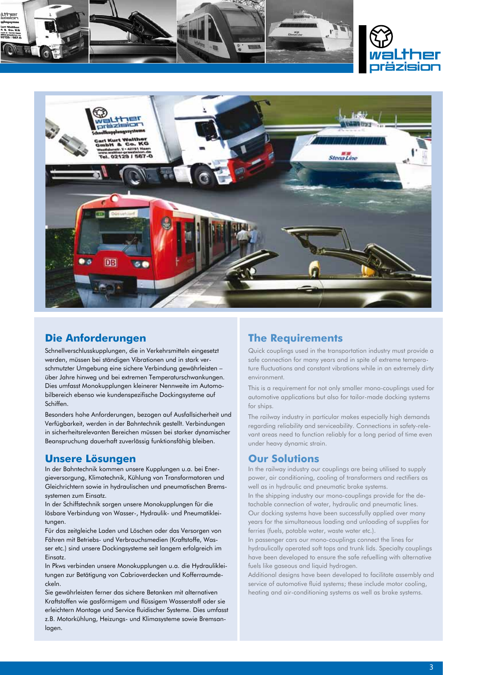





### **Die Anforderungen**

Schnellverschlusskupplungen, die in Verkehrsmitteln eingesetzt werden, müssen bei ständigen Vibrationen und in stark verschmutzter Umgebung eine sichere Verbindung gewährleisten – über Jahre hinweg und bei extremen Temperaturschwankungen. Dies umfasst Monokupplungen kleinerer Nennweite im Automobilbereich ebenso wie kundenspezifische Dockingsysteme auf Schiffen.

Besonders hohe Anforderungen, bezogen auf Ausfallsicherheit und Verfügbarkeit, werden in der Bahntechnik gestellt. Verbindungen in sicherheitsrelevanten Bereichen müssen bei starker dynamischer Beanspruchung dauerhaft zuverlässig funktionsfähig bleiben.

### **Unsere Lösungen**

In der Bahntechnik kommen unsere Kupplungen u.a. bei Energieversorgung, Klimatechnik, Kühlung von Transformatoren und Gleichrichtern sowie in hydraulischen und pneumatischen Bremssystemen zum Einsatz.

In der Schiffstechnik sorgen unsere Monokupplungen für die lösbare Verbindung von Wasser-, Hydraulik- und Pneumatikleitungen.

Für das zeitgleiche Laden und Löschen oder das Versorgen von Fähren mit Betriebs- und Verbrauchsmedien (Kraftstoffe, Wasser etc.) sind unsere Dockingsysteme seit langem erfolgreich im Einsatz.

In Pkws verbinden unsere Monokupplungen u.a. die Hydraulikleitungen zur Betätigung von Cabrioverdecken und Kofferraumdeckeln.

Sie gewährleisten ferner das sichere Betanken mit alternativen Kraftstoffen wie gasförmigem und flüssigem Wasserstoff oder sie erleichtern Montage und Service fluidischer Systeme. Dies umfasst z.B. Motorkühlung, Heizungs- und Klimasysteme sowie Bremsanlagen.

### **The Requirements**

Quick couplings used in the transportation industry must provide a safe connection for many years and in spite of extreme temperature fluctuations and constant vibrations while in an extremely dirty environment.

This is a requirement for not only smaller mono-couplings used for automotive applications but also for tailor-made docking systems for ships.

The railway industry in particular makes especially high demands regarding reliability and serviceability. Connections in safety-relevant areas need to function reliably for a long period of time even under heavy dynamic strain.

## **Our Solutions**

In the railway industry our couplings are being utilised to supply power, air conditioning, cooling of transformers and rectifiers as well as in hydraulic and pneumatic brake systems.

In the shipping industry our mono-couplings provide for the detachable connection of water, hydraulic and pneumatic lines. Our docking systems have been successfully applied over many years for the simultaneous loading and unloading of supplies for ferries (fuels, potable water, waste water etc.).

In passenger cars our mono-couplings connect the lines for hydraulically operated soft tops and trunk lids. Specialty couplings have been developed to ensure the safe refuelling with alternative fuels like gaseous and liquid hydrogen.

Additional designs have been developed to facilitate assembly and service of automotive fluid systems; these include motor cooling, heating and air-conditioning systems as well as brake systems.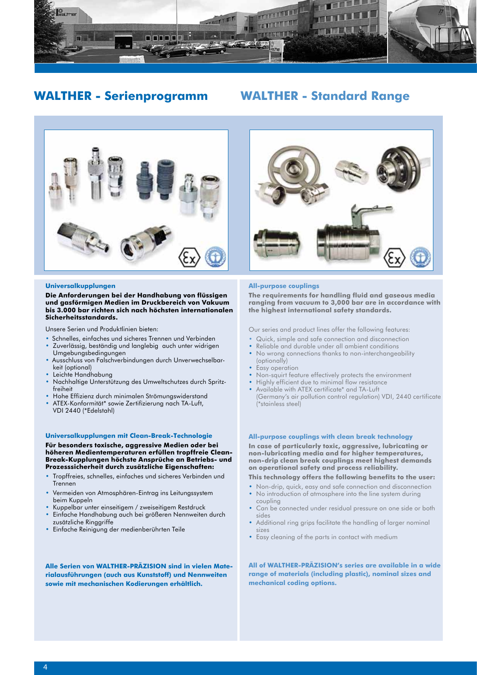

## **WALTHER - Serienprogramm WALTHER - Standard Range**



#### **Universalkupplungen**

**Die Anforderungen bei der Handhabung von flüssigen und gasförmigen Medien im Druckbereich von Vakuum bis 3.000 bar richten sich nach höchsten internationalen Sicherheitsstandards.** 

Unsere Serien und Produktlinien bieten:

- Schnelles, einfaches und sicheres Trennen und Verbinden
- Zuverlässig, beständig und langlebig auch unter widrigen Umgebungsbedingungen
- Ausschluss von Falschverbindungen durch Unverwechselbar keit (optional)
- Leichte Handhabung
- Nachhaltige Unterstützung des Umweltschutzes durch Spritz freiheit
- Hohe Effizienz durch minimalen Strömungswiderstand
- ATEX-Konformität\* sowie Zertifizierung nach TA-Luft, VDI 2440 (\*Edelstahl)

#### **Universalkupplungen mit Clean-Break-Technologie**

#### **Für besonders toxische, aggressive Medien oder bei höheren Medientemperaturen erfüllen tropffreie Clean-Break-Kupplungen höchste Ansprüche an Betriebs- und Prozesssicherheit durch zusätzliche Eigenschaften:**

- Tropffreies, schnelles, einfaches und sicheres Verbinden und Trennen
- Vermeiden von Atmosphären-Eintrag ins Leitungssystem beim Kuppeln
- Kuppelbar unter einseitigem / zweiseitigem Restdruck
- Einfache Handhabung auch bei größeren Nennweiten durch zusätzliche Ringgriffe
- Einfache Reinigung der medienberührten Teile

**Alle Serien von WALTHER-PRÄZISION sind in vielen Materialausführungen (auch aus Kunststoff) und Nennweiten sowie mit mechanischen Kodierungen erhältlich.** 

#### **All-purpose couplings**

**The requirements for handling fluid and gaseous media ranging from vacuum to 3,000 bar are in accordance with the highest international safety standards.** 

Our series and product lines offer the following features:

- Quick, simple and safe connection and disconnection
- Reliable and durable under all ambient conditions
- No wrong connections thanks to non-interchangeability (optionally)
- Easy operation
- Non-squirt feature effectively protects the environment
- Highly efficient due to minimal flow resistance
- Available with ATEX certificate\* and TA-Luft (Germany's air pollution control regulation) VDI, 2440 certificate (\*stainless steel)

#### **All-purpose couplings with clean break technology**

**In case of particularly toxic, aggressive, lubricating or non-lubricating media and for higher temperatures, non-drip clean break couplings meet highest demands on operational safety and process reliability.**

**This technology offers the following benefits to the user:**

- Non-drip, quick, easy and safe connection and disconnection • No introduction of atmosphere into the line system during coupling
- Can be connected under residual pressure on one side or both sides
- Additional ring grips facilitate the handling of larger nominal sizes
- Easy cleaning of the parts in contact with medium

**All of WALTHER-PRÄZISION's series are available in a wide range of materials (including plastic), nominal sizes and mechanical coding options.**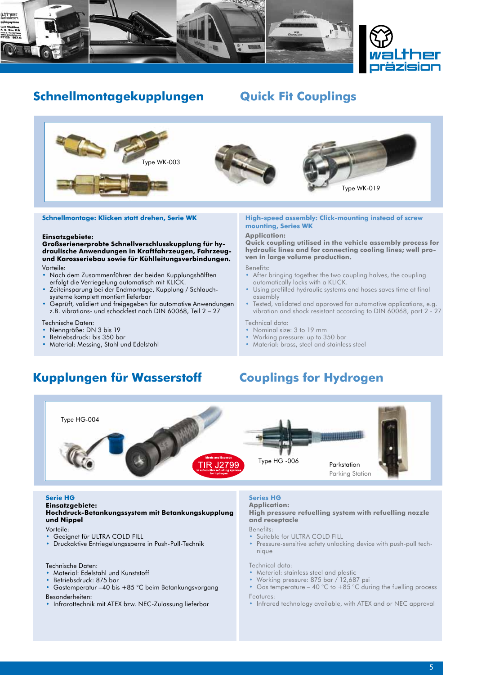



# **Schnellmontagekupplungen Quick Fit Couplings**



#### **Schnellmontage: Klicken statt drehen, Serie WK**

#### **Einsatzgebiete:**

**Großserienerprobte Schnellverschlusskupplung für hydraulische Anwendungen in Kraftfahrzeugen, Fahrzeugund Karosseriebau sowie für Kühlleitungsverbindungen.** Vorteile:

- Nach dem Zusammenführen der beiden Kupplungshälften erfolgt die Verriegelung automatisch mit KLICK.
- Zeiteinsparung bei der Endmontage, Kupplung / Schlauch systeme komplett montiert lieferbar
- Geprüft, validiert und freigegeben für automotive Anwendungen z.B. vibrations- und schockfest nach DIN 60068, Teil 2 – 27
- Technische Daten:
- Nenngröße: DN 3 bis 19
- Betriebsdruck: bis 350 bar
- Material: Messing, Stahl und Edelstahl

#### **High-speed assembly: Click-mounting instead of screw mounting, Series WK**

#### **Application:**

**Quick coupling utilised in the vehicle assembly process for hydraulic lines and for connecting cooling lines; well proven in large volume production.**

Benefits:

- After bringing together the two coupling halves, the coupling automatically locks with a KLICK.
- Using prefilled hydraulic systems and hoses saves time at final assembly
- Tested, validated and approved for automotive applications, e.g. vibration and shock resistant according to DIN 60068, part 2 - 27

Technical data:

- Nominal size: 3 to 19 mm
- Working pressure: up to 350 bar
- Material: brass, steel and stainless steel

# **Kupplungen für Wasserstoff Couplings for Hydrogen**



#### **Serie HG**

**Einsatzgebiete:**

#### **Hochdruck-Betankungssystem mit Betankungskupplung und Nippel**

Vorteile:

- Geeignet für ULTRA COLD FILL
- Druckaktive Entriegelungssperre in Push-Pull-Technik
- Technische Daten:
- Material: Edelstahl und Kunststoff
- Betriebsdruck: 875 bar
- Gastemperatur –40 bis +85 °C beim Betankungsvorgang Besonderheiten:
- Infrarottechnik mit ATEX bzw. NEC-Zulassung lieferbar

### **Series HG**

**Application:**

#### **High pressure refuelling system with refuelling nozzle and receptacle**

Benefits:

- Suitable for ULTRA COLD FILL
- Pressure-sensitive safety unlocking device with push-pull tech nique

Technical data:

- Material: stainless steel and plastic
- Working pressure: 875 bar / 12,687 psi
- Gas temperature 40 °C to +85 °C during the fuelling process Features:
- Infrared technology available, with ATEX and or NEC approval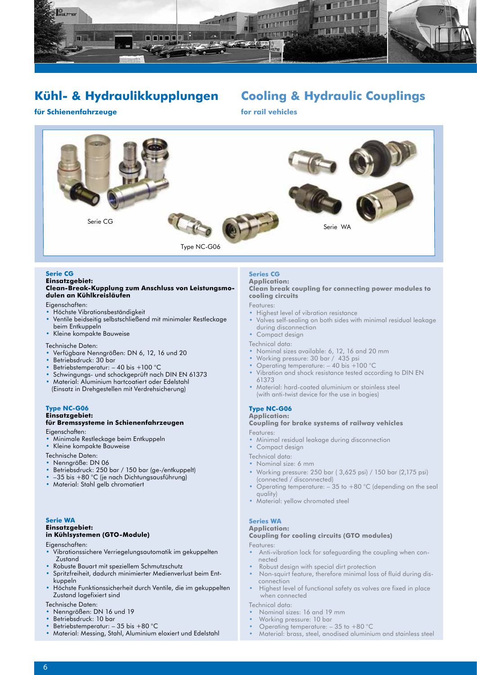

# **Kühl- & Hydraulikkupplungen**

# **Cooling & Hydraulic Couplings**

### **für Schienenfahrzeuge**

**for rail vehicles**



#### **Serie CG**

#### **Einsatzgebiet: Clean-Break-Kupplung zum Anschluss von Leistungsmodulen an Kühlkreisläufen**

Eigenschaften:

- Höchste Vibrationsbeständigkeit
- Ventile beidseitig selbstschließend mit minimaler Restleckage beim Entkuppeln
- Kleine kompakte Bauweise

Technische Daten:

- Verfügbare Nenngrößen: DN 6, 12, 16 und 20
- Betriebsdruck: 30 bar
- Betriebstemperatur: 40 bis +100 °C
- Schwingungs- und schockgeprüft nach DIN EN 61373
- Material: Aluminium hartcoatiert oder Edelstahl (Einsatz in Drehgestellen mit Verdrehsicherung)

#### **Type NC-G06 Einsatzgebiet:**

#### **für Bremssysteme in Schienenfahrzeugen** Eigenschaften:

- 
- Minimale Restleckage beim Entkuppeln<br>• Kleine kompakte Bauweise • Kleine kompakte Bauweise
- 
- Technische Daten:
- Nenngröße: DN 06
- Betriebsdruck: 250 bar / 150 bar (ge-/entkuppelt)
- –35 bis +80 °C (je nach Dichtungsausführung)
- Material: Stahl gelb chromatiert

### **Serie WA**

#### **Einsatzgebiet: in Kühlsystemen (GTO-Module)**

- Eigenschaften:
- Vibrationssichere Verriegelungsautomatik im gekuppelten Zustand
- Robuste Bauart mit speziellem Schmutzschutz
- Spritzfreiheit, dadurch minimierter Medienverlust beim Ent kuppeln
- Höchste Funktionssicherheit durch Ventile, die im gekuppelten Zustand lagefixiert sind
- Technische Daten:
- Nenngrößen: DN 16 und 19
- Betriebsdruck: 10 bar
- Betriebstemperatur: 35 bis +80 °C
- Material: Messing, Stahl, Aluminium eloxiert und Edelstahl

#### **Series CG Application: Clean break coupling for connecting power modules to cooling circuits**

- Features:
- Highest level of vibration resistance
- Valves self-sealing on both sides with minimal residual leakage during disconnection
- Compact design

Technical data:

- Nominal sizes available: 6, 12, 16 and 20 mm
- Working pressure: 30 bar / 435 psi
- Operating temperature: 40 bis +100 °C
- Vibration and shock resistance tested according to DIN EN 61373
- Material: hard-coated aluminium or stainless steel (with anti-twist device for the use in bogies)

#### **Type NC-G06**

### **Application:**

### **Coupling for brake systems of railway vehicles**

- Features:
- Minimal residual leakage during disconnection Compact design
- 
- Technical data:
- Nominal size: 6 mm
- Working pressure: 250 bar ( 3,625 psi) / 150 bar (2,175 psi) (connected / disconnected)
- Operating temperature: 35 to +80 °C (depending on the seal quality)
- Material: yellow chromated steel

#### **Series WA Application:**

### **Coupling for cooling circuits (GTO modules)**

- Features:
- Anti-vibration lock for safeguarding the coupling when con nected
- Robust design with special dirt protection
- Non-squirt feature, therefore minimal loss of fluid during dis connection
- Highest level of functional safety as valves are fixed in place when connected

Technical data:

- Nominal sizes: 16 and 19 mm
- Working pressure: 10 bar
- Operating temperature: 35 to +80 °C
- Material: brass, steel, anodised aluminium and stainless steel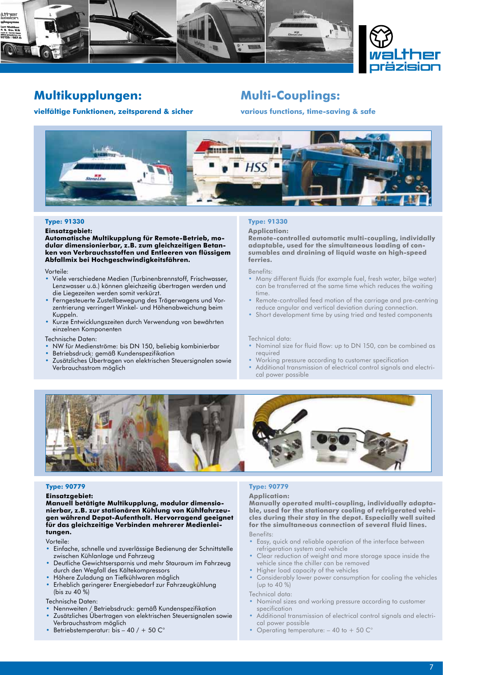



# **Multikupplungen:**

#### **vielfältige Funktionen, zeitsparend & sicher**

## **Multi-Couplings:**

**various functions, time-saving & safe**



#### **Type: 91330**

#### **Einsatzgebiet:**

**Automatische Multikupplung für Remote-Betrieb, modular dimensionierbar, z.B. zum gleichzeitigen Betanken von Verbrauchsstoffen und Entleeren von flüssigem Abfallmix bei Hochgeschwindigkeitsfähren.**

Vorteile:

- Viele verschiedene Medien (Turbinenbrennstoff, Frischwasser, Lenzwasser u.ä.) können gleichzeitig übertragen werden und die Liegezeiten werden somit verkürzt.
- Ferngesteuerte Zustellbewegung des Trägerwagens und Vor zentrierung verringert Winkel- und Höhenabweichung beim Kuppeln.
- Kurze Entwicklungszeiten durch Verwendung von bewährten einzelnen Komponenten

Technische Daten:

- NW für Medienströme: bis DN 150, beliebig kombinierbar
- Betriebsdruck: gemäß Kundenspezifikation
- Zusätzliches Übertragen von elektrischen Steuersignalen sowie Verbrauchsstrom möglich

### **Type: 91330**

#### **Application:**

**Remote-controlled automatic multi-coupling, individally adaptable, used for the simultaneous loading of consumables and draining of liquid waste on high-speed ferries.**

Benefits:

- Many different fluids (for example fuel, fresh water, bilge water) can be transferred at the same time which reduces the waiting time.
- Remote-controlled feed motion of the carriage and pre-centring reduce angular and vertical deviation during connection.
- Short development time by using tried and tested components

#### Technical data:

- Nominal size for fluid flow: up to DN 150, can be combined as required
- Working pressure according to customer specification
- Additional transmission of electrical control signals and electri cal power possible



#### **Type: 90779**

**Einsatzgebiet:** 

**Manuell betätigte Multikupplung, modular dimensionierbar, z.B. zur stationären Kühlung von Kühlfahrzeugen während Depot-Aufenthalt. Hervorragend geeignet für das gleichzeitige Verbinden mehrerer Medienleitungen.**

Vorteile:

- Einfache, schnelle und zuverlässige Bedienung der Schnittstelle zwischen Kühlanlage und Fahrzeug
- Deutliche Gewichtsersparnis und mehr Stauraum im Fahrzeug durch den Wegfall des Kältekompressors
- Höhere Zuladung an Tiefkühlwaren möglich
- Erheblich geringerer Energiebedarf zur Fahrzeugkühlung (bis zu 40 %)

Technische Daten:

- Nennweiten / Betriebsdruck: gemäß Kundenspezifikation
- Zusätzliches Übertragen von elektrischen Steuersignalen sowie Verbrauchsstrom möglich
- Betriebstemperatur: bis  $-$  40 / + 50  $\mathbb{C}^{\circ}$

#### **Type: 90779**

#### **Application:**

**Manually operated multi-coupling, individually adaptable, used for the stationary cooling of refrigerated vehicles during their stay in the depot. Especially well suited for the simultaneous connection of several fluid lines.** Benefits:

- Easy, quick and reliable operation of the interface between refrigeration system and vehicle
- Clear reduction of weight and more storage space inside the vehicle since the chiller can be removed
- Higher load capacity of the vehicles
- Considerably lower power consumption for cooling the vehicles (up to 40 %)

Technical data:

- Nominal sizes and working pressure according to customer specification
- Additional transmission of electrical control signals and electri cal power possible
- Operating temperature: 40 to + 50 C°